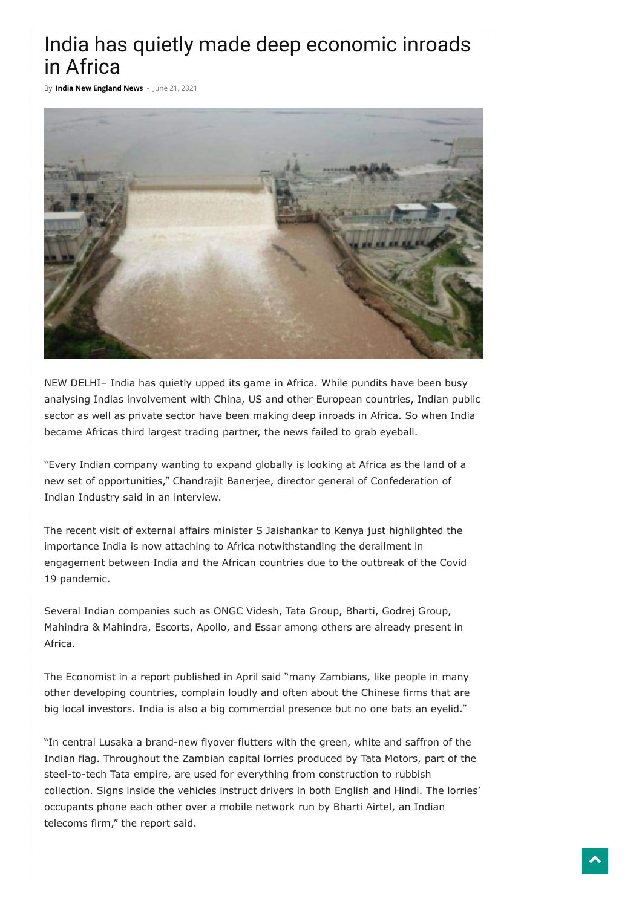## India has quietly made deep economic inroads in Africa

By **India New [England](https://indianewengland.com/author/inenews/) News** - June 21, 2021



NEW DELHI– India has quietly upped its game in Africa. While pundits have been busy analysing Indias involvement with China, US and other European countries, Indian public sector as well as private sector have been making deep inroads in Africa. So when India became Africas third largest trading partner, the news failed to grab eyeball.

"Every Indian company wanting to expand globally is looking at Africa as the land of a new set of opportunities," Chandrajit Banerjee, director general of Confederation of Indian Industry said in an interview.

The recent visit of external affairs minister S Jaishankar to Kenya just highlighted the importance India is now attaching to Africa notwithstanding the derailment in engagement between India and the African countries due to the outbreak of the Covid 19 pandemic.

Several Indian companies such as ONGC Videsh, Tata Group, Bharti, Godrej Group, Mahindra & Mahindra, Escorts, Apollo, and Essar among others are already present in Africa.

The Economist in a report published in April said "many Zambians, like people in many other developing countries, complain loudly and often about the Chinese firms that are big local investors. India is also a big commercial presence but no one bats an eyelid."

"In central Lusaka a brand-new flyover flutters with the green, white and saffron of the Indian flag. Throughout the Zambian capital lorries produced by Tata Motors, part of the steel-to-tech Tata empire, are used for everything from construction to rubbish collection. Signs inside the vehicles instruct drivers in both English and Hindi. The lorries' occupants phone each other over a mobile network run by Bharti Airtel, an Indian telecoms firm," the report said.